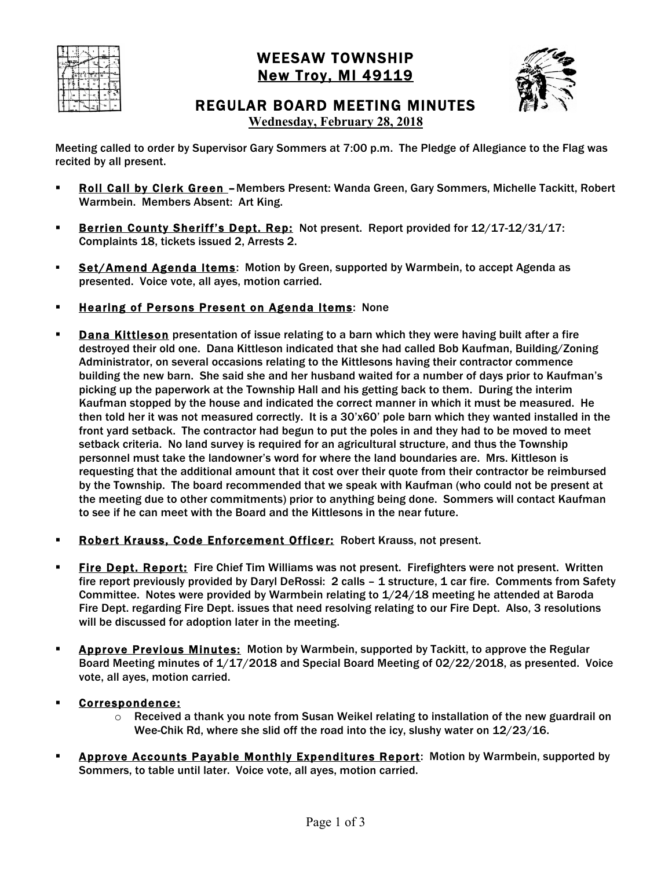

# WEESAW TOWNSHIP New Troy, MI 49119



REGULAR BOARD MEETING MINUTES

**Wednesday, February 28, 2018**

Meeting called to order by Supervisor Gary Sommers at 7:00 p.m. The Pledge of Allegiance to the Flag was recited by all present.

- ! Roll Call by Clerk Green –Members Present: Wanda Green, Gary Sommers, Michelle Tackitt, Robert Warmbein. Members Absent: Art King.
- **EXECTE:** Berrien County Sheriff's Dept. Rep: Not present. Report provided for 12/17-12/31/17: Complaints 18, tickets issued 2, Arrests 2.
- **.** Set/Amend Agenda Items: Motion by Green, supported by Warmbein, to accept Agenda as presented. Voice vote, all ayes, motion carried.
- **Example 2 Hearing of Persons Present on Agenda Items: None**
- **Dana Kittleson** presentation of issue relating to a barn which they were having built after a fire destroyed their old one. Dana Kittleson indicated that she had called Bob Kaufman, Building/Zoning Administrator, on several occasions relating to the Kittlesons having their contractor commence building the new barn. She said she and her husband waited for a number of days prior to Kaufman's picking up the paperwork at the Township Hall and his getting back to them. During the interim Kaufman stopped by the house and indicated the correct manner in which it must be measured. He then told her it was not measured correctly. It is a 30'x60' pole barn which they wanted installed in the front yard setback. The contractor had begun to put the poles in and they had to be moved to meet setback criteria. No land survey is required for an agricultural structure, and thus the Township personnel must take the landowner's word for where the land boundaries are. Mrs. Kittleson is requesting that the additional amount that it cost over their quote from their contractor be reimbursed by the Township. The board recommended that we speak with Kaufman (who could not be present at the meeting due to other commitments) prior to anything being done. Sommers will contact Kaufman to see if he can meet with the Board and the Kittlesons in the near future.
- **Robert Krauss, Code Enforcement Officer: Robert Krauss, not present.**
- **Eire Dept. Report:** Fire Chief Tim Williams was not present. Firefighters were not present. Written fire report previously provided by Daryl DeRossi: 2 calls – 1 structure, 1 car fire. Comments from Safety Committee. Notes were provided by Warmbein relating to 1/24/18 meeting he attended at Baroda Fire Dept. regarding Fire Dept. issues that need resolving relating to our Fire Dept. Also, 3 resolutions will be discussed for adoption later in the meeting.
- **EXPEDED IN Approve Previous Minutes:** Motion by Warmbein, supported by Tackitt, to approve the Regular Board Meeting minutes of 1/17/2018 and Special Board Meeting of 02/22/2018, as presented. Voice vote, all ayes, motion carried.
- ! Correspondence:
	- $\circ$  Received a thank you note from Susan Weikel relating to installation of the new guardrail on Wee-Chik Rd, where she slid off the road into the icy, slushy water on 12/23/16.
- Approve Accounts Payable Monthly Expenditures Report: Motion by Warmbein, supported by Sommers, to table until later. Voice vote, all ayes, motion carried.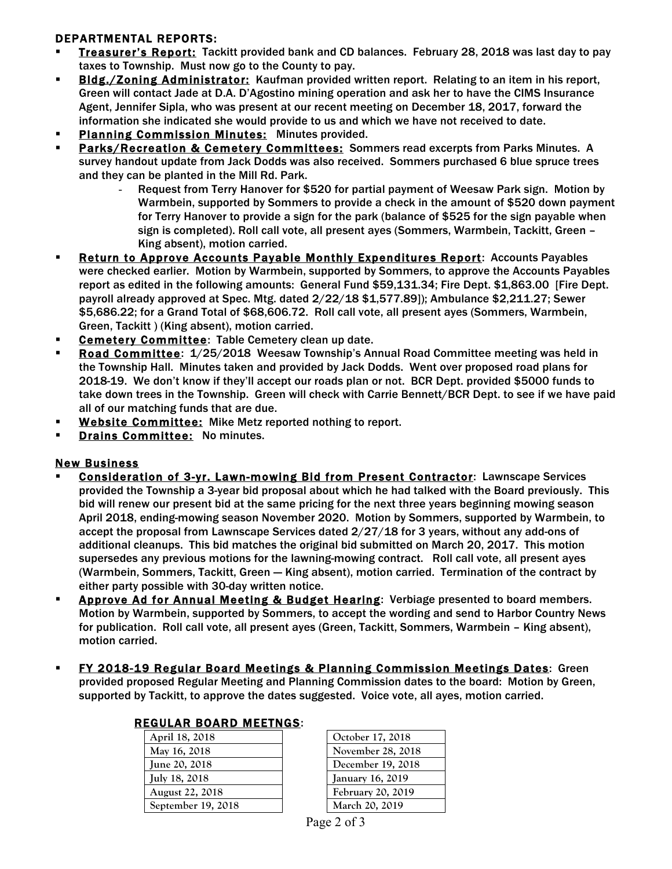### DEPARTMENTAL REPORTS:

- ! Treasurer's Report: Tackitt provided bank and CD balances. February 28, 2018 was last day to pay taxes to Township. Must now go to the County to pay.
- **EXECT IS ADMINIMUM** Bldg. / Zoning Administrator: Kaufman provided written report. Relating to an item in his report, Green will contact Jade at D.A. D'Agostino mining operation and ask her to have the CIMS Insurance Agent, Jennifer Sipla, who was present at our recent meeting on December 18, 2017, forward the information she indicated she would provide to us and which we have not received to date.
- Planning Commission Minutes: Minutes provided.
- Parks/Recreation & Cemetery Committees: Sommers read excerpts from Parks Minutes. A survey handout update from Jack Dodds was also received. Sommers purchased 6 blue spruce trees and they can be planted in the Mill Rd. Park.
	- Request from Terry Hanover for \$520 for partial payment of Weesaw Park sign. Motion by Warmbein, supported by Sommers to provide a check in the amount of \$520 down payment for Terry Hanover to provide a sign for the park (balance of \$525 for the sign payable when sign is completed). Roll call vote, all present ayes (Sommers, Warmbein, Tackitt, Green – King absent), motion carried.
- **EXECTEE:** Return to Approve Accounts Payable Monthly Expenditures Report: Accounts Payables were checked earlier. Motion by Warmbein, supported by Sommers, to approve the Accounts Payables report as edited in the following amounts: General Fund \$59,131.34; Fire Dept. \$1,863.00 [Fire Dept. payroll already approved at Spec. Mtg. dated 2/22/18 \$1,577.89]); Ambulance \$2,211.27; Sewer \$5,686.22; for a Grand Total of \$68,606.72. Roll call vote, all present ayes (Sommers, Warmbein, Green, Tackitt ) (King absent), motion carried.
- **Example 2 Committee:** Table Cemetery clean up date.
- Road Committee:  $1/25/2018$  Weesaw Township's Annual Road Committee meeting was held in the Township Hall. Minutes taken and provided by Jack Dodds. Went over proposed road plans for 2018-19. We don't know if they'll accept our roads plan or not. BCR Dept. provided \$5000 funds to take down trees in the Township. Green will check with Carrie Bennett/BCR Dept. to see if we have paid all of our matching funds that are due.
- **. Website Committee:** Mike Metz reported nothing to report.
- **Drains Committee: No minutes.**

#### New Business

- Consideration of 3-yr. Lawn-mowing Bid from Present Contractor: Lawnscape Services provided the Township a 3-year bid proposal about which he had talked with the Board previously. This bid will renew our present bid at the same pricing for the next three years beginning mowing season April 2018, ending-mowing season November 2020. Motion by Sommers, supported by Warmbein, to accept the proposal from Lawnscape Services dated 2/27/18 for 3 years, without any add-ons of additional cleanups. This bid matches the original bid submitted on March 20, 2017. This motion supersedes any previous motions for the lawning-mowing contract. Roll call vote, all present ayes (Warmbein, Sommers, Tackitt, Green -- King absent), motion carried. Termination of the contract by either party possible with 30-day written notice.
- **EXECTE AD FORM ADDET ADDET IN ADDET AT ADDET ADDET** Approvement of the Approvement Approvement Approvement and the Monrophers. Motion by Warmbein, supported by Sommers, to accept the wording and send to Harbor Country News for publication. Roll call vote, all present ayes (Green, Tackitt, Sommers, Warmbein – King absent), motion carried.
- **FY 2018-19 Regular Board Meetings & Planning Commission Meetings Dates:** Green provided proposed Regular Meeting and Planning Commission dates to the board: Motion by Green, supported by Tackitt, to approve the dates suggested. Voice vote, all ayes, motion carried.

| <b>REGULAR BOARD MEETNGS:</b> |                    |                   |  |
|-------------------------------|--------------------|-------------------|--|
|                               | April 18, 2018     | October 17, 2018  |  |
|                               | May 16, 2018       | November 28, 2018 |  |
|                               | June 20, 2018      | December 19, 2018 |  |
|                               | July 18, 2018      | January 16, 2019  |  |
|                               | August 22, 2018    | February 20, 2019 |  |
|                               | September 19, 2018 | March 20, 2019    |  |

| October 17, 2018  |
|-------------------|
| November 28, 201  |
| December 19, 2018 |
| January 16, 2019  |
| February 20, 2019 |